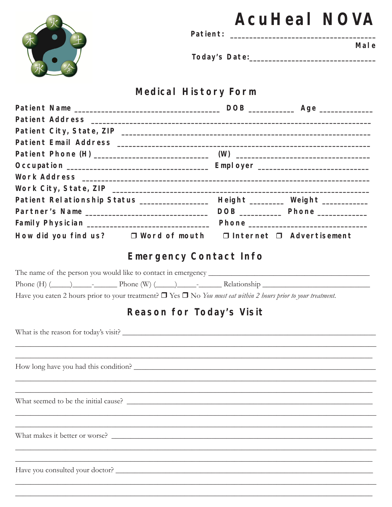|                                                                                                                                                                                                                                                       |                                                             |  | <b>AcuHeal NOVA</b> |
|-------------------------------------------------------------------------------------------------------------------------------------------------------------------------------------------------------------------------------------------------------|-------------------------------------------------------------|--|---------------------|
|                                                                                                                                                                                                                                                       |                                                             |  | Mal e               |
|                                                                                                                                                                                                                                                       |                                                             |  |                     |
|                                                                                                                                                                                                                                                       | <b>Medical History Form</b>                                 |  |                     |
|                                                                                                                                                                                                                                                       |                                                             |  |                     |
|                                                                                                                                                                                                                                                       |                                                             |  |                     |
|                                                                                                                                                                                                                                                       |                                                             |  |                     |
|                                                                                                                                                                                                                                                       |                                                             |  |                     |
|                                                                                                                                                                                                                                                       |                                                             |  |                     |
|                                                                                                                                                                                                                                                       |                                                             |  |                     |
|                                                                                                                                                                                                                                                       |                                                             |  |                     |
|                                                                                                                                                                                                                                                       |                                                             |  |                     |
| Patient Relationship Status ________________ Height _______ Weight __________                                                                                                                                                                         |                                                             |  |                     |
|                                                                                                                                                                                                                                                       |                                                             |  |                     |
|                                                                                                                                                                                                                                                       |                                                             |  |                     |
| How did you find us? □ Word of mouth □ Internet □ Advertisement                                                                                                                                                                                       |                                                             |  |                     |
|                                                                                                                                                                                                                                                       | <b>Emergency Contact Info</b>                               |  |                     |
|                                                                                                                                                                                                                                                       |                                                             |  |                     |
| Phone $(H)$ $(\underline{\hspace{1cm}})$ $\underline{\hspace{1cm}}$ $\cdot$ $\underline{\hspace{1cm}}$ Phone $(W)$ $(\underline{\hspace{1cm}})$ $\underline{\hspace{1cm}}$ $\cdot$ $\underline{\hspace{1cm}}$ Relationship $\underline{\hspace{1cm}}$ |                                                             |  |                     |
| Have you eaten 2 hours prior to your treatment? $\Box$ Yes $\Box$ No You must eat within 2 hours prior to your treatment.                                                                                                                             |                                                             |  |                     |
|                                                                                                                                                                                                                                                       | Reason for Today's Visit                                    |  |                     |
|                                                                                                                                                                                                                                                       |                                                             |  |                     |
|                                                                                                                                                                                                                                                       |                                                             |  |                     |
|                                                                                                                                                                                                                                                       |                                                             |  |                     |
|                                                                                                                                                                                                                                                       |                                                             |  |                     |
|                                                                                                                                                                                                                                                       |                                                             |  |                     |
|                                                                                                                                                                                                                                                       | <u> 1989 - Johann Stoff, amerikansk politiker (d. 1989)</u> |  |                     |
|                                                                                                                                                                                                                                                       |                                                             |  |                     |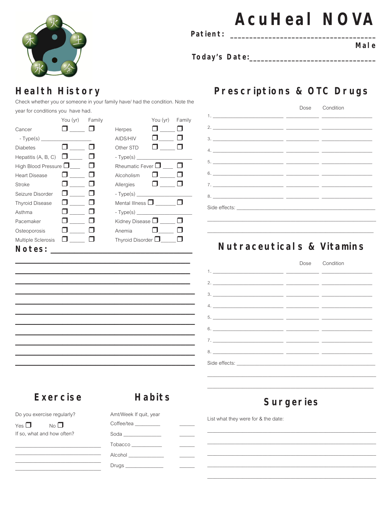

Patient:

# **AcuHeal NOVA**

Mal e

### **Health History**

Check whether you or someone in your family have/ had the condition. Note the year for conditions you have had.

|                            | You (yr) Family |                            | You (yr)     | Family |
|----------------------------|-----------------|----------------------------|--------------|--------|
| Cancer                     |                 | Herpes                     |              |        |
|                            |                 | AIDS/HIV                   |              |        |
| <b>Diabetes</b>            |                 | Other STD                  |              |        |
| Hepatitis (A, B, C) $\Box$ |                 | $-Type(s)$                 |              |        |
| High Blood Pressure $\Box$ |                 | Rheumatic Fever □          |              |        |
| <b>Heart Disease</b>       |                 | Alcoholism                 | $\mathbf{1}$ |        |
| Stroke                     |                 | Allergies                  | <b>U</b>     |        |
| Seizure Disorder           |                 | $-Type(s)$                 |              |        |
| <b>Thyroid Disease</b>     |                 | Mental Illness $\square$   |              |        |
| Asthma                     |                 |                            |              |        |
| Pacemaker                  |                 | Kidney Disease $\Box$      |              |        |
| Osteoporosis               |                 | Anemia                     |              |        |
| <b>Multiple Sclerosis</b>  |                 | Thyroid Disorder $\square$ |              |        |
| Notes:                     |                 |                            |              |        |

## Prescriptions & OTC Drugs

|  | Dose Condition |
|--|----------------|
|  |                |
|  |                |
|  |                |
|  |                |
|  |                |
|  |                |
|  |                |
|  |                |
|  |                |
|  |                |

#### Nutraceuticals & Vitamins

#### Dose Condition  $1.$  $2.$  $\overline{a}$  $\overline{\phantom{a}}$  $\sim$   $3.$ 4.  $5.$  $\overline{a}$  $\overline{a}$  $6.$  $7.$  $8.$ Side effects:

#### **Exercise**

#### **Habits**

Do you exercise regularly?

Yes  $\Box$  $No$ If so, what and how often? Amt/Week If quit, year Coffee/tea Soda\_\_\_\_\_\_ Tobacco Alcohol \_\_\_ Drugs\_

### **Surgeries**

List what they were for & the date: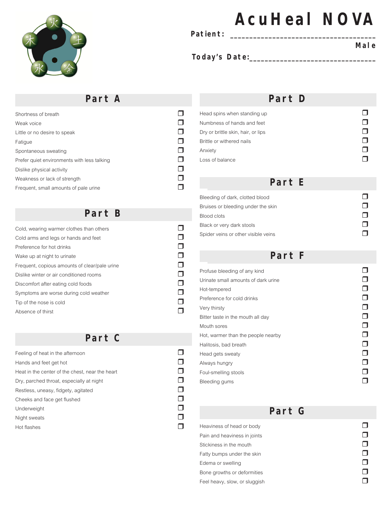

#### **Patient: \_\_\_\_\_\_\_\_\_\_\_\_\_\_\_\_\_\_\_\_\_\_\_\_\_\_\_\_\_\_\_\_\_\_\_\_\_\_**

# **AcuHeal NOVA**

#### **Male**

**Today's Date:\_\_\_\_\_\_\_\_\_\_\_\_\_\_\_\_\_\_\_\_\_\_\_\_\_\_\_\_\_\_\_\_\_** 

#### **Part A**

| Weak voice<br>Little or no desire to speak  |
|---------------------------------------------|
|                                             |
|                                             |
| Fatigue                                     |
| Spontaneous sweating                        |
| Prefer quiet environments with less talking |
| Dislike physical activity                   |
| Weakness or lack of strength                |
| Frequent, small amounts of pale urine       |

#### **Part B**

| Cold, wearing warmer clothes than others      |  |
|-----------------------------------------------|--|
| Cold arms and legs or hands and feet          |  |
| Preference for hot drinks                     |  |
| Wake up at night to urinate                   |  |
| Frequent, copious amounts of clear/pale urine |  |
| Dislike winter or air conditioned rooms       |  |
| Discomfort after eating cold foods            |  |
| Symptoms are worse during cold weather        |  |
| Tip of the nose is cold                       |  |
| Absence of thirst                             |  |

#### **Part C**

| Feeling of heat in the afternoon                |  |
|-------------------------------------------------|--|
| Hands and feet get hot                          |  |
| Heat in the center of the chest, near the heart |  |
| Dry, parched throat, especially at night        |  |
| Restless, uneasy, fidgety, agitated             |  |
| Cheeks and face get flushed                     |  |
| Underweight                                     |  |
| Night sweats                                    |  |
| Hot flashes                                     |  |

#### **Part D**

| Head spins when standing up        |  |
|------------------------------------|--|
| Numbness of hands and feet         |  |
| Dry or brittle skin, hair, or lips |  |
| Brittle or withered nails          |  |
| Anxiety                            |  |
| I oss of balance                   |  |

#### **Part E**

| Bleeding of dark, clotted blood     |  |
|-------------------------------------|--|
| Bruises or bleeding under the skin  |  |
| Blood clots                         |  |
| Black or very dark stools           |  |
| Spider veins or other visible veins |  |

#### **Part F**

| Profuse bleeding of any kind        |  |
|-------------------------------------|--|
| Urinate small amounts of dark urine |  |
| Hot-tempered                        |  |
| Preference for cold drinks          |  |
| Very thirsty                        |  |
| Bitter taste in the mouth all day   |  |
| Mouth sores                         |  |
| Hot, warmer than the people nearby  |  |
| Halitosis, bad breath               |  |
| Head gets sweaty                    |  |
| Always hungry                       |  |
| Foul-smelling stools                |  |
| Bleeding gums                       |  |

#### **Part G**

Heaviness of head or body<br>
Pain and heaviness in ioints Pain and heaviness in joints  $\Box$ <br>Stickiness in the mouth  $\Box$ Stickiness in the mouth  $\Box$ <br>Fatty bumps under the skin Fatty bumps under the skin  $\Box$ <br>Edema or swelling  $\Box$ Edema or swelling  $\Box$ <br>Bone growths or deformities  $\Box$ Bone growths or deformities  $\square$ <br>Feel heavy, slow, or sluggish Feel heavy, slow, or sluggish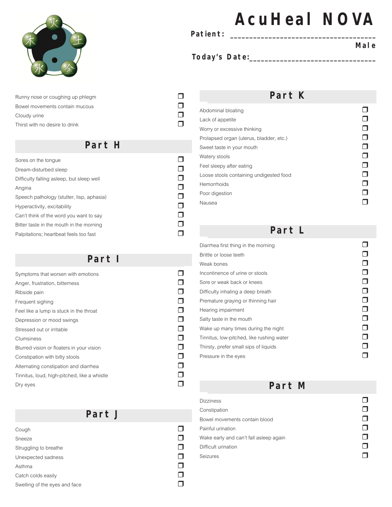

Runny nose or coughing up phlegm  $\Box$ <br>Bowel movements contain mucous Bowel movements contain mucous r Cloudy urine  $\square$ <br>
Thirst with no desire to drink Thirst with no desire to drink

#### **Part H**

| Sores on the tonque                       |  |
|-------------------------------------------|--|
| Dream-disturbed sleep                     |  |
| Difficulty falling asleep, but sleep well |  |
| Angina                                    |  |
| Speech pathology (stutter, lisp, aphasia) |  |
| Hyperactivity, excitability               |  |
| Can't think of the word you want to say   |  |
| Bitter taste in the mouth in the morning  |  |
| Palpitations: heartbeat feels too fast    |  |

#### **Part I**

| Symptoms that worsen with emotions           |  |
|----------------------------------------------|--|
| Anger, frustration, bitterness               |  |
| Ribside pain                                 |  |
| Frequent sighing                             |  |
| Feel like a lump is stuck in the throat      |  |
| Depression or mood swings                    |  |
| Stressed out or irritable                    |  |
| Clumsiness                                   |  |
| Blurred vision or floaters in your vision    |  |
| Constipation with bitty stools               |  |
| Alternating constipation and diarrhea        |  |
| Tinnitus, loud, high-pitched, like a whistle |  |
| Dry eyes                                     |  |

#### **Part J**

| Cough                         |  |
|-------------------------------|--|
| <b>Sneeze</b>                 |  |
| Struggling to breathe         |  |
| Unexpected sadness            |  |
| Asthma                        |  |
| Catch colds easily            |  |
| Swelling of the eyes and face |  |
|                               |  |

# **AcuHeal NOVA**

**Patient: \_\_\_\_\_\_\_\_\_\_\_\_\_\_\_\_\_\_\_\_\_\_\_\_\_\_\_\_\_\_\_\_\_\_\_\_\_\_** 

#### **Today's Date:\_\_\_\_\_\_\_\_\_\_\_\_\_\_\_\_\_\_\_\_\_\_\_\_\_\_\_\_\_\_\_\_\_**

**Male** 

#### **Part K**

| Abdominal bloating                      |  |
|-----------------------------------------|--|
| Lack of appetite                        |  |
| Worry or excessive thinking             |  |
| Prolapsed organ (uterus, bladder, etc.) |  |
| Sweet taste in your mouth               |  |
| Watery stools                           |  |
| Feel sleepy after eating                |  |
| Loose stools containing undigested food |  |
| Hemorrhoids                             |  |
| Poor digestion                          |  |
| Nausea                                  |  |

#### **Part L**

| Diarrhea first thing in the morning       |  |
|-------------------------------------------|--|
| Brittle or loose teeth                    |  |
| Weak bones                                |  |
| Incontinence of urine or stools           |  |
| Sore or weak back or knees                |  |
| Difficulty inhaling a deep breath         |  |
| Premature graying or thinning hair        |  |
| Hearing impairment                        |  |
| Salty taste in the mouth                  |  |
| Wake up many times during the night       |  |
| Tinnitus, low-pitched, like rushing water |  |
| Thirsty, prefer small sips of liquids     |  |
| Pressure in the eyes                      |  |
|                                           |  |

**Part M** 

| Constipation                           |  |
|----------------------------------------|--|
| Bowel movements contain blood          |  |
| Painful urination                      |  |
| Wake early and can't fall asleep again |  |
| Difficult urination                    |  |
| Seizures                               |  |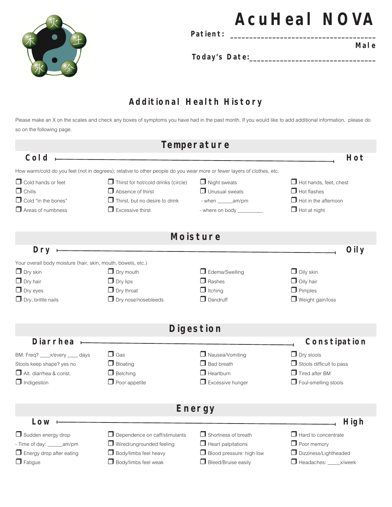

Patient:

**AcuHeal NOVA** 

**Today's Date:\_\_\_\_\_\_\_\_\_\_\_\_\_\_\_\_\_\_\_\_\_\_\_\_\_\_\_\_\_\_\_\_\_** 

#### **Male**

**Additional Health History**

Please make an X on the scales and check any boxes of symptoms you have had in the past month. If you would like to add additional information, please do so on the following page.